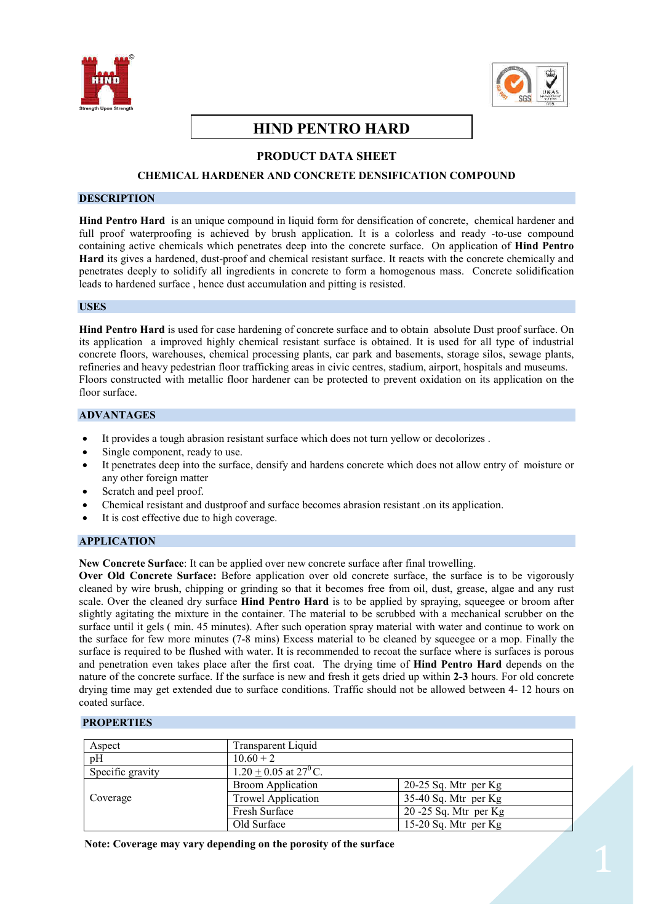



# **HIND PENTRO HARD**

# **PRODUCT DATA SHEET**

## **CHEMICAL HARDENER AND CONCRETE DENSIFICATION COMPOUND**

## **DESCRIPTION**

**Hind Pentro Hard** is an unique compound in liquid form for densification of concrete, chemical hardener and full proof waterproofing is achieved by brush application. It is a colorless and ready -to-use compound containing active chemicals which penetrates deep into the concrete surface. On application of **Hind Pentro Hard** its gives a hardened, dust-proof and chemical resistant surface. It reacts with the concrete chemically and penetrates deeply to solidify all ingredients in concrete to form a homogenous mass. Concrete solidification leads to hardened surface , hence dust accumulation and pitting is resisted.

#### **USES**

**Hind Pentro Hard** is used for case hardening of concrete surface and to obtain absolute Dust proof surface. On its application a improved highly chemical resistant surface is obtained. It is used for all type of industrial concrete floors, warehouses, chemical processing plants, car park and basements, storage silos, sewage plants, refineries and heavy pedestrian floor trafficking areas in civic centres, stadium, airport, hospitals and museums. Floors constructed with metallic floor hardener can be protected to prevent oxidation on its application on the floor surface

# **ADVANTAGES**

- · It provides a tough abrasion resistant surface which does not turn yellow or decolorizes .
- Single component, ready to use.
- It penetrates deep into the surface, densify and hardens concrete which does not allow entry of moisture or any other foreign matter
- Scratch and peel proof.
- · Chemical resistant and dustproof and surface becomes abrasion resistant .on its application.
- It is cost effective due to high coverage.

## **APPLICATION**

**New Concrete Surface**: It can be applied over new concrete surface after final trowelling.

**Over Old Concrete Surface:** Before application over old concrete surface, the surface is to be vigorously cleaned by wire brush, chipping or grinding so that it becomes free from oil, dust, grease, algae and any rust scale. Over the cleaned dry surface **Hind Pentro Hard** is to be applied by spraying, squeegee or broom after slightly agitating the mixture in the container. The material to be scrubbed with a mechanical scrubber on the surface until it gels ( min. 45 minutes). After such operation spray material with water and continue to work on the surface for few more minutes (7-8 mins) Excess material to be cleaned by squeegee or a mop. Finally the surface is required to be flushed with water. It is recommended to recoat the surface where is surfaces is porous and penetration even takes place after the first coat. The drying time of **Hind Pentro Hard** depends on the nature of the concrete surface. If the surface is new and fresh it gets dried up within **2-3** hours. For old concrete drying time may get extended due to surface conditions. Traffic should not be allowed between 4- 12 hours on coated surface.

## **PROPERTIES**

| Aspect           | Transparent Liquid                  |                          |
|------------------|-------------------------------------|--------------------------|
| pH               | $10.60 + 2$                         |                          |
| Specific gravity | $1.20 + 0.05$ at 27 <sup>0</sup> C. |                          |
|                  | <b>Broom Application</b>            | $20-25$ Sq. Mtr per Kg   |
| Coverage         | Trowel Application                  | $35-40$ Sq. Mtr per Kg   |
|                  | Fresh Surface                       | $20 - 25$ Sq. Mtr per Kg |
|                  | Old Surface                         | 15-20 Sq. Mtr per $Kg$   |

 **Note: Coverage may vary depending on the porosity of the surface**